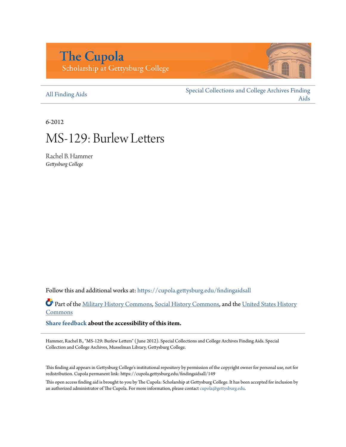## **The Cupola** Scholarship at Gettysburg College

#### [All Finding Aids](https://cupola.gettysburg.edu/findingaidsall?utm_source=cupola.gettysburg.edu%2Ffindingaidsall%2F149&utm_medium=PDF&utm_campaign=PDFCoverPages)

[Special Collections and College Archives Finding](https://cupola.gettysburg.edu/findingaids?utm_source=cupola.gettysburg.edu%2Ffindingaidsall%2F149&utm_medium=PDF&utm_campaign=PDFCoverPages) [Aids](https://cupola.gettysburg.edu/findingaids?utm_source=cupola.gettysburg.edu%2Ffindingaidsall%2F149&utm_medium=PDF&utm_campaign=PDFCoverPages)

6-2012

# MS-129: Burlew Letters

Rachel B. Hammer *Gettysburg College*

Follow this and additional works at: [https://cupola.gettysburg.edu/findingaidsall](https://cupola.gettysburg.edu/findingaidsall?utm_source=cupola.gettysburg.edu%2Ffindingaidsall%2F149&utm_medium=PDF&utm_campaign=PDFCoverPages)

Part of the [Military History Commons](http://network.bepress.com/hgg/discipline/504?utm_source=cupola.gettysburg.edu%2Ffindingaidsall%2F149&utm_medium=PDF&utm_campaign=PDFCoverPages), [Social History Commons,](http://network.bepress.com/hgg/discipline/506?utm_source=cupola.gettysburg.edu%2Ffindingaidsall%2F149&utm_medium=PDF&utm_campaign=PDFCoverPages) and the [United States History](http://network.bepress.com/hgg/discipline/495?utm_source=cupola.gettysburg.edu%2Ffindingaidsall%2F149&utm_medium=PDF&utm_campaign=PDFCoverPages) **[Commons](http://network.bepress.com/hgg/discipline/495?utm_source=cupola.gettysburg.edu%2Ffindingaidsall%2F149&utm_medium=PDF&utm_campaign=PDFCoverPages)** 

**[Share feedback](https://docs.google.com/a/bepress.com/forms/d/1h9eEcpBPj5POs5oO6Y5A0blXRmZqykoonyYiZUNyEq8/viewform) about the accessibility of this item.**

Hammer, Rachel B., "MS-129: Burlew Letters" ( June 2012). Special Collections and College Archives Finding Aids. Special Collection and College Archives, Musselman Library, Gettysburg College.

This finding aid appears in Gettysburg College's institutional repository by permission of the copyright owner for personal use, not for redistribution. Cupola permanent link: https://cupola.gettysburg.edu/findingaidsall/149

This open access finding aid is brought to you by The Cupola: Scholarship at Gettysburg College. It has been accepted for inclusion by an authorized administrator of The Cupola. For more information, please contact [cupola@gettysburg.edu](mailto:cupola@gettysburg.edu).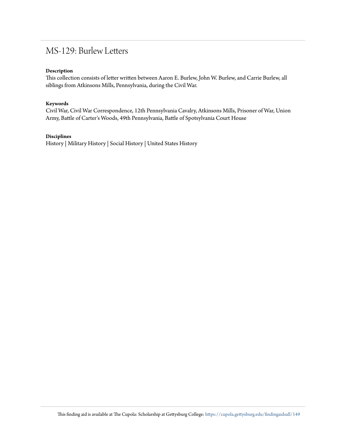## MS-129: Burlew Letters

#### **Description**

This collection consists of letter written between Aaron E. Burlew, John W. Burlew, and Carrie Burlew, all siblings from Atkinsons Mills, Pennsylvania, during the Civil War.

#### **Keywords**

Civil War, Civil War Correspondence, 12th Pennsylvania Cavalry, Atkinsons Mills, Prisoner of War, Union Army, Battle of Carter's Woods, 49th Pennsylvania, Battle of Spotsylvania Court House

#### **Disciplines**

History | Military History | Social History | United States History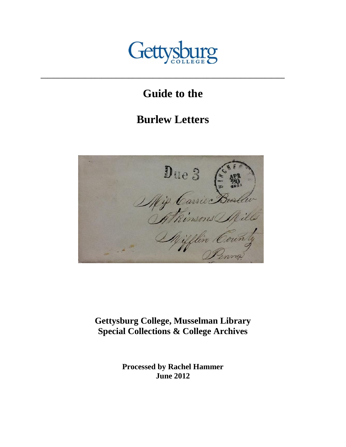

## **Guide to the**

**\_\_\_\_\_\_\_\_\_\_\_\_\_\_\_\_\_\_\_\_\_\_\_\_\_\_\_\_\_\_\_\_\_\_\_\_\_\_\_\_\_\_\_\_\_\_\_\_\_\_\_\_\_\_\_\_\_\_\_\_\_\_\_\_\_\_\_\_\_\_\_\_**

## **Burlew Letters**



**Gettysburg College, Musselman Library Special Collections & College Archives**

> **Processed by Rachel Hammer June 2012**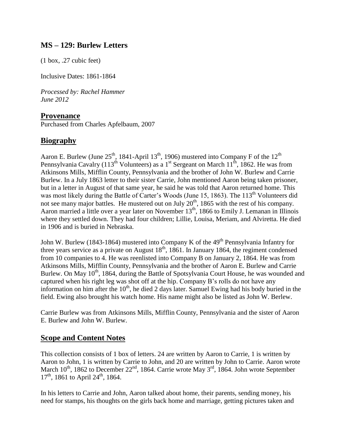## **MS – 129: Burlew Letters**

(1 box, .27 cubic feet)

Inclusive Dates: 1861-1864

*Processed by: Rachel Hammer June 2012*

### **Provenance**

Purchased from Charles Apfelbaum, 2007

## **Biography**

Aaron E. Burlew (June 25<sup>th</sup>, 1841-April 13<sup>th</sup>, 1906) mustered into Company F of the 12<sup>th</sup> Pennsylvania Cavalry (113<sup>th</sup> Volunteers) as a 1<sup>st</sup> Sergeant on March 11<sup>th</sup>, 1862. He was from Atkinsons Mills, Mifflin County, Pennsylvania and the brother of John W. Burlew and Carrie Burlew. In a July 1863 letter to their sister Carrie, John mentioned Aaron being taken prisoner, but in a letter in August of that same year, he said he was told that Aaron returned home. This was most likely during the Battle of Carter's Woods (June 15, 1863). The 113<sup>th</sup> Volunteers did not see many major battles. He mustered out on July  $20^{th}$ , 1865 with the rest of his company. Aaron married a little over a year later on November 13<sup>th</sup>, 1866 to Emily J. Lemanan in Illinois where they settled down. They had four children; Lillie, Louisa, Meriam, and Alviretta. He died in 1906 and is buried in Nebraska.

John W. Burlew (1843-1864) mustered into Company K of the 49<sup>th</sup> Pennsylvania Infantry for three years service as a private on August  $18<sup>th</sup>$ ,  $1861$ . In January 1864, the regiment condensed from 10 companies to 4. He was reenlisted into Company B on January 2, 1864. He was from Atkinsons Mills, Mifflin County, Pennsylvania and the brother of Aaron E. Burlew and Carrie Burlew. On May  $10<sup>th</sup>$ , 1864, during the Battle of Spotsylvania Court House, he was wounded and captured when his right leg was shot off at the hip. Company B's rolls do not have any information on him after the  $10<sup>th</sup>$ , he died 2 days later. Samuel Ewing had his body buried in the field. Ewing also brought his watch home. His name might also be listed as John W. Berlew.

Carrie Burlew was from Atkinsons Mills, Mifflin County, Pennsylvania and the sister of Aaron E. Burlew and John W. Burlew.

### **Scope and Content Notes**

This collection consists of 1 box of letters. 24 are written by Aaron to Carrie, 1 is written by Aaron to John, 1 is written by Carrie to John, and 20 are written by John to Carrie. Aaron wrote March  $10^{th}$ , 1862 to December  $22^{nd}$ , 1864. Carrie wrote May  $3^{rd}$ , 1864. John wrote September  $17<sup>th</sup>$ , 1861 to April 24<sup>th</sup>, 1864.

In his letters to Carrie and John, Aaron talked about home, their parents, sending money, his need for stamps, his thoughts on the girls back home and marriage, getting pictures taken and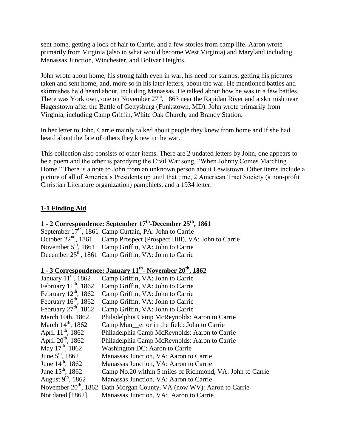sent home, getting a lock of hair to Carrie, and a few stories from camp life. Aaron wrote primarily from Virginia (also in what would become West Virginia) and Maryland including Manassas Junction, Winchester, and Bolivar Heights.

John wrote about home, his strong faith even in war, his need for stamps, getting his pictures taken and sent home, and, more so in his later letters, about the war. He mentioned battles and skirmishes he'd heard about, including Manassas. He talked about how he was in a few battles. There was Yorktown, one on November 27<sup>th</sup>, 1863 near the Rapidan River and a skirmish near Hagerstown after the Battle of Gettysburg (Funkstown, MD). John wrote primarily from Virginia, including Camp Griffin, White Oak Church, and Brandy Station.

In her letter to John, Carrie mainly talked about people they knew from home and if she had heard about the fate of others they knew in the war.

This collection also consists of other items. There are 2 undated letters by John, one appears to be a poem and the other is parodying the Civil War song, "When Johnny Comes Marching Home." There is a note to John from an unknown person about Lewistown. Other items include a picture of all of America's Presidents up until that time, 2 American Tract Society (a non-profit Christian Literature organization) pamphlets, and a 1934 letter.

### **1-1 Finding Aid**

### **1 - 2 Correspondence: September 17<sup>th</sup>-December 25<sup>th</sup>, 1861**

| September 17 <sup>th</sup> , 1861 Camp Curtain, PA: John to Carrie                |
|-----------------------------------------------------------------------------------|
| October 22 <sup>nd</sup> , 1861 Camp Prospect (Prospect Hill), VA: John to Carrie |
| November $5th$ , 1861 Camp Griffin, VA: John to Carrie                            |
| December 25 <sup>th</sup> , 1861 Camp Griffin, VA: John to Carrie                 |

### **1 - 3 Correspondence: January 11th - November 20th, 1862**

| Camp Griffin, VA: John to Carrie                                                  |
|-----------------------------------------------------------------------------------|
| Camp Griffin, VA: John to Carrie                                                  |
| Camp Griffin, VA: John to Carrie                                                  |
| Camp Griffin, VA: John to Carrie                                                  |
| Camp Griffin, VA: John to Carrie                                                  |
| Philadelphia Camp McReynolds: Aaron to Carrie                                     |
| Camp Mun_er or in the field: John to Carrie                                       |
| Philadelphia Camp McReynolds: Aaron to Carrie                                     |
| Philadelphia Camp McReynolds: Aaron to Carrie                                     |
| Washington DC: Aaron to Carrie                                                    |
| Manassas Junction, VA: Aaron to Carrie                                            |
| Manassas Junction, VA: Aaron to Carrie                                            |
| Camp No.20 within 5 miles of Richmond, VA: John to Carrie                         |
| Manassas Junction, VA: Aaron to Carrie                                            |
| November 20 <sup>th</sup> , 1862 Bath Morgan County, VA (now WV): Aaron to Carrie |
| Manassas Junction, VA: Aaron to Carrie                                            |
|                                                                                   |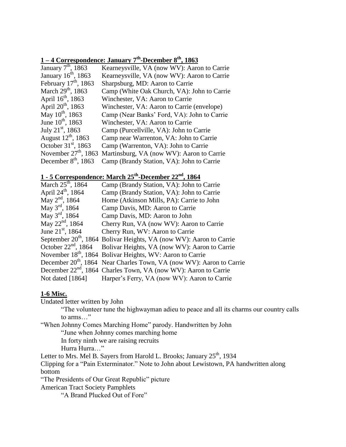### **1 – 4 Correspondence: January 7<sup>th</sup>-December 8<sup>th</sup>, 1863**

| January $7th$ , 1863            | Kearneysville, VA (now WV): Aaron to Carrie |
|---------------------------------|---------------------------------------------|
| January 16 <sup>th</sup> , 1863 | Kearneysville, VA (now WV): Aaron to Carrie |
| February $17th$ , 1863          | Sharpsburg, MD: Aaron to Carrie             |
| March 29 <sup>th</sup> , 1863   | Camp (White Oak Church, VA): John to Carrie |
| April 16 <sup>th</sup> , 1863   | Winchester, VA: Aaron to Carrie             |
| April $20^{th}$ , 1863          | Winchester, VA: Aaron to Carrie (envelope)  |
| May $10^{th}$ , 1863            | Camp (Near Banks' Ford, VA): John to Carrie |
| June 10 <sup>th</sup> , 1863    | Winchester, VA: Aaron to Carrie             |
| July $21^{\rm st}$ , 1863       | Camp (Purcellville, VA): John to Carrie     |
| August $12^{th}$ , 1863         | Camp near Warrenton, VA: John to Carrie     |
| October $31st$ , 1863           | Camp (Warrenton, VA): John to Carrie        |
| November $27th$ , 1863          | Martinsburg, VA (now WV): Aaron to Carrie   |
| December $8th$ , 1863           | Camp (Brandy Station, VA): John to Carrie   |

### **1 - 5 Correspondence: March 25th -December 22nd, 1864**

| March 25 <sup>th</sup> , 1864 | Camp (Brandy Station, VA): John to Carrie                                        |
|-------------------------------|----------------------------------------------------------------------------------|
| April 24 <sup>th</sup> , 1864 | Camp (Brandy Station, VA): John to Carrie                                        |
| May $2^{nd}$ , 1864           | Home (Atkinson Mills, PA): Carrie to John                                        |
| May $3^{\text{rd}}$ , 1864    | Camp Davis, MD: Aaron to Carrie                                                  |
| May $3^{\text{rd}}$ , 1864    | Camp Davis, MD: Aaron to John                                                    |
| May $22^{nd}$ , 1864          | Cherry Run, VA (now WV): Aaron to Carrie                                         |
| June $21^{\text{st}}$ , 1864  | Cherry Run, WV: Aaron to Carrie                                                  |
|                               | September 20 <sup>th</sup> , 1864 Bolivar Heights, VA (now WV): Aaron to Carrie  |
|                               | October 22 <sup>nd</sup> , 1864 Bolivar Heights, VA (now WV): Aaron to Carrie    |
|                               | November 18 <sup>th</sup> , 1864 Bolivar Heights, WV: Aaron to Carrie            |
|                               | December 20 <sup>th</sup> , 1864 Near Charles Town, VA (now WV): Aaron to Carrie |
|                               | December 22 <sup>nd</sup> , 1864 Charles Town, VA (now WV): Aaron to Carrie      |
| Not dated $[1864]$            | Harper's Ferry, VA (now WV): Aaron to Carrie                                     |
|                               |                                                                                  |

#### **1-6 Misc.**

Undated letter written by John

"The volunteer tune the highwayman adieu to peace and all its charms our country calls to arms…"

"When Johnny Comes Marching Home" parody. Handwritten by John

"June when Johnny comes marching home

In forty ninth we are raising recruits

Hurra Hurra…"

Letter to Mrs. Mel B. Sayers from Harold L. Brooks; January 25<sup>th</sup>, 1934

Clipping for a "Pain Exterminator." Note to John about Lewistown, PA handwritten along bottom

"The Presidents of Our Great Republic" picture

American Tract Society Pamphlets

"A Brand Plucked Out of Fore"